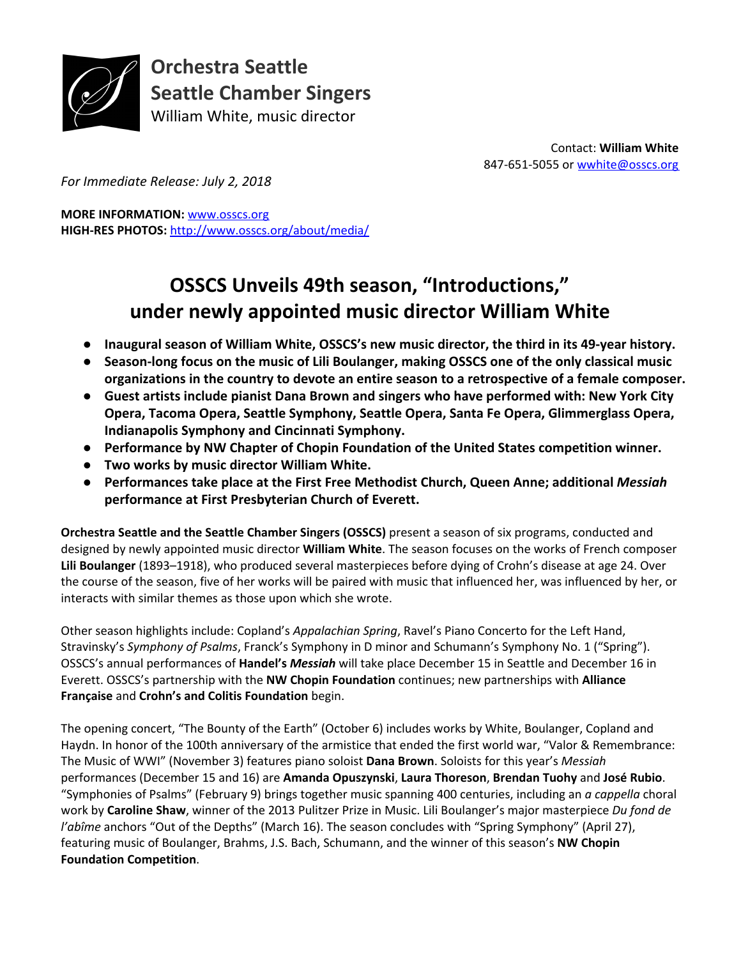

**Orchestra Seattle Seattle Chamber Singers** William White, music director

> Contact: **William White** 847-651-5055 or [wwhite@osscs.org](mailto:wwhite@osscs.org)

*For Immediate Release: July 2, 2018*

**MORE INFORMATION:** [www.osscs.org](http://www.osscs.org/) **HIGH-RES PHOTOS:** <http://www.osscs.org/about/media/>

# **OSSCS Unveils 49th season, "Introductions," under newly appointed music director William White**

- **Inaugural season of William White, OSSCS's new music director, the third in its 49-year history.**
- **Season-long focus on the music of Lili Boulanger, making OSSCS one of the only classical music organizations in the country to devote an entire season to a retrospective of a female composer.**
- **Guest artists include pianist Dana Brown and singers who have performed with: New York City Opera, Tacoma Opera, Seattle Symphony, Seattle Opera, Santa Fe Opera, Glimmerglass Opera, Indianapolis Symphony and Cincinnati Symphony.**
- **Performance by NW Chapter of Chopin Foundation of the United States competition winner.**
- **Two works by music director William White.**
- **Performances take place at the First Free Methodist Church, Queen Anne; additional** *Messiah* **performance at First Presbyterian Church of Everett.**

**Orchestra Seattle and the Seattle Chamber Singers (OSSCS)** present a season of six programs, conducted and designed by newly appointed music director **William White**. The season focuses on the works of French composer **Lili Boulanger** (1893–1918), who produced several masterpieces before dying of Crohn's disease at age 24. Over the course of the season, five of her works will be paired with music that influenced her, was influenced by her, or interacts with similar themes as those upon which she wrote.

Other season highlights include: Copland's *Appalachian Spring*, Ravel's Piano Concerto for the Left Hand, Stravinsky's *Symphony of Psalms*, Franck's Symphony in D minor and Schumann's Symphony No. 1 ("Spring"). OSSCS's annual performances of **Handel's** *M essiah* will take place December 15 in Seattle and December 16 in Everett. OSSCS's partnership with the **NW Chopin Foundation** continues; new partnerships with **Alliance Française** and **Crohn's and Colitis Foundation** begin.

The opening concert, "The Bounty of the Earth" (October 6) includes works by White, Boulanger, Copland and Haydn. In honor of the 100th anniversary of the armistice that ended the first world war, "Valor & Remembrance: The Music of WWI" (November 3) features piano soloist **Dana Brown**. Soloists for this year's *Messiah* performances (December 15 and 16) are **Amanda Opuszynski**, **Laura Thoreson**, **Brendan Tuohy** and **José Rubio**. "Symphonies of Psalms" (February 9) brings together music spanning 400 centuries, including an *a cappella* choral work by **Caroline Shaw**, winner of the 2013 Pulitzer Prize in Music. Lili Boulanger's major masterpiece *Du fond de l'abîme* anchors "Out of the Depths" (March 16). The season concludes with "Spring Symphony" (April 27), featuring music of Boulanger, Brahms, J.S. Bach, Schumann, and the winner of this season's **NW Chopin Foundation Competition**.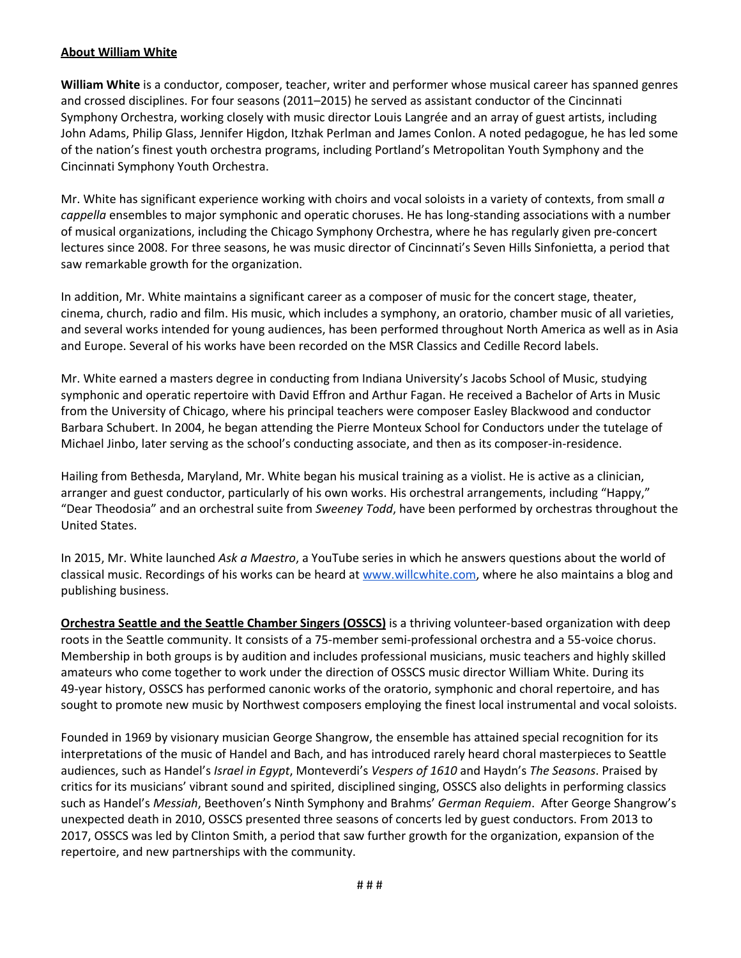#### **About William White**

**William White** is a conductor, composer, teacher, writer and performer whose musical career has spanned genres and crossed disciplines. For four seasons (2011–2015) he served as assistant conductor of the Cincinnati Symphony Orchestra, working closely with music director Louis Langrée and an array of guest artists, including John Adams, Philip Glass, Jennifer Higdon, Itzhak Perlman and James Conlon. A noted pedagogue, he has led some of the nation's finest youth orchestra programs, including Portland's Metropolitan Youth Symphony and the Cincinnati Symphony Youth Orchestra.

Mr. White has significant experience working with choirs and vocal soloists in a variety of contexts, from small *a cappella* ensembles to major symphonic and operatic choruses. He has long-standing associations with a number of musical organizations, including the Chicago Symphony Orchestra, where he has regularly given pre-concert lectures since 2008. For three seasons, he was music director of Cincinnati's Seven Hills Sinfonietta, a period that saw remarkable growth for the organization.

In addition, Mr. White maintains a significant career as a composer of music for the concert stage, theater, cinema, church, radio and film. His music, which includes a symphony, an oratorio, chamber music of all varieties, and several works intended for young audiences, has been performed throughout North America as well as in Asia and Europe. Several of his works have been recorded on the MSR Classics and Cedille Record labels.

Mr. White earned a masters degree in conducting from Indiana University's Jacobs School of Music, studying symphonic and operatic repertoire with David Effron and Arthur Fagan. He received a Bachelor of Arts in Music from the University of Chicago, where his principal teachers were composer Easley Blackwood and conductor Barbara Schubert. In 2004, he began attending the Pierre Monteux School for Conductors under the tutelage of Michael Jinbo, later serving as the school's conducting associate, and then as its composer-in-residence.

Hailing from Bethesda, Maryland, Mr. White began his musical training as a violist. He is active as a clinician, arranger and guest conductor, particularly of his own works. His orchestral arrangements, including "Happy," "Dear Theodosia" and an orchestral suite from *Sweeney Todd*, have been performed by orchestras throughout the United States.

In 2015, Mr. White launched *Ask a Maestro*, a YouTube series in which he answers questions about the world of classical music. Recordings of his works can be heard at [www.willcwhite.com,](http://www.willcwhite.com/) where he also maintains a blog and publishing business.

**Orchestra Seattle and the Seattle Chamber Singers (OSSCS)** is a thriving volunteer-based organization with deep roots in the Seattle community. It consists of a 75-member semi-professional orchestra and a 55-voice chorus. Membership in both groups is by audition and includes professional musicians, music teachers and highly skilled amateurs who come together to work under the direction of OSSCS music director William White. During its 49-year history, OSSCS has performed canonic works of the oratorio, symphonic and choral repertoire, and has sought to promote new music by Northwest composers employing the finest local instrumental and vocal soloists.

Founded in 1969 by visionary musician George Shangrow, the ensemble has attained special recognition for its interpretations of the music of Handel and Bach, and has introduced rarely heard choral masterpieces to Seattle audiences, such as Handel's *Israel in Egypt*, Monteverdi's *Vespers of 1610* and Haydn's *The Seasons*. Praised by critics for its musicians' vibrant sound and spirited, disciplined singing, OSSCS also delights in performing classics such as Handel's *Messiah*, Beethoven's Ninth Symphony and Brahms' *German Requiem*. After George Shangrow's unexpected death in 2010, OSSCS presented three seasons of concerts led by guest conductors. From 2013 to 2017, OSSCS was led by Clinton Smith, a period that saw further growth for the organization, expansion of the repertoire, and new partnerships with the community.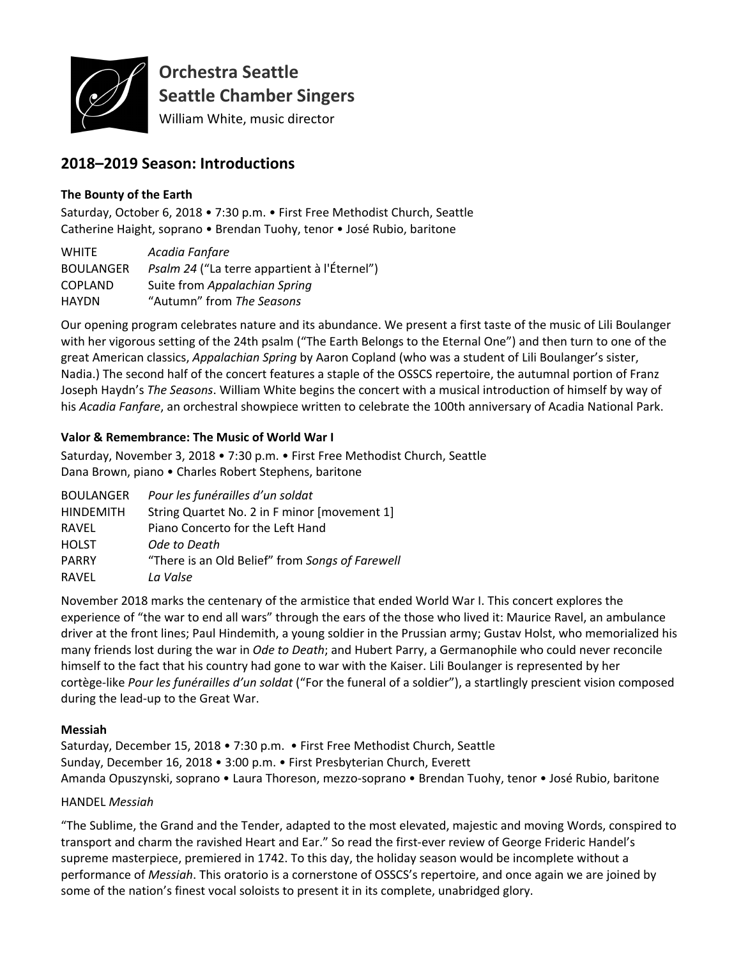

**Orchestra Seattle Seattle Chamber Singers**

William White, music director

# **2018–2019 Season: Introductions**

## **The Bounty of the Earth**

Saturday, October 6, 2018 • 7:30 p.m. • First Free Methodist Church, Seattle Catherine Haight, soprano • Brendan Tuohy, tenor • José Rubio, baritone

| <b>WHITE</b>     | Acadia Fanfare                               |
|------------------|----------------------------------------------|
| <b>BOULANGER</b> | Psalm 24 ("La terre appartient à l'Éternel") |
| <b>COPLAND</b>   | Suite from Appalachian Spring                |
| <b>HAYDN</b>     | "Autumn" from The Seasons                    |

Our opening program celebrates nature and its abundance. We present a first taste of the music of Lili Boulanger with her vigorous setting of the 24th psalm ("The Earth Belongs to the Eternal One") and then turn to one of the great American classics, *Appalachian Spring* by Aaron Copland (who was a student of Lili Boulanger's sister, Nadia.) The second half of the concert features a staple of the OSSCS repertoire, the autumnal portion of Franz Joseph Haydn's *The Seasons*. William White begins the concert with a musical introduction of himself by way of his *Acadia Fanfare*, an orchestral showpiece written to celebrate the 100th anniversary of Acadia National Park.

## **Valor & Remembrance: The Music of World War I**

Saturday, November 3, 2018 • 7:30 p.m. • First Free Methodist Church, Seattle Dana Brown, piano • Charles Robert Stephens, baritone

| <b>BOULANGER</b> | Pour les funérailles d'un soldat                |
|------------------|-------------------------------------------------|
| <b>HINDEMITH</b> | String Quartet No. 2 in F minor [movement 1]    |
| RAVEL            | Piano Concerto for the Left Hand                |
| <b>HOLST</b>     | Ode to Death                                    |
| <b>PARRY</b>     | "There is an Old Belief" from Songs of Farewell |
| RAVEL            | La Valse                                        |
|                  |                                                 |

November 2018 marks the centenary of the armistice that ended World War I. This concert explores the experience of "the war to end all wars" through the ears of the those who lived it: Maurice Ravel, an ambulance driver at the front lines; Paul Hindemith, a young soldier in the Prussian army; Gustav Holst, who memorialized his many friends lost during the war in *Ode to Death*; and Hubert Parry, a Germanophile who could never reconcile himself to the fact that his country had gone to war with the Kaiser. Lili Boulanger is represented by her cortège-like *Pour les funérailles d'un soldat* ("For the funeral of a soldier"), a startlingly prescient vision composed during the lead-up to the Great War.

#### **Messiah**

Saturday, December 15, 2018 • 7:30 p.m. • First Free Methodist Church, Seattle Sunday, December 16, 2018 • 3:00 p.m. • First Presbyterian Church, Everett Amanda Opuszynski, soprano • Laura Thoreson, mezzo-soprano • Brendan Tuohy, tenor • José Rubio, baritone

# HANDEL *Messiah*

"The Sublime, the Grand and the Tender, adapted to the most elevated, majestic and moving Words, conspired to transport and charm the ravished Heart and Ear." So read the first-ever review of George Frideric Handel's supreme masterpiece, premiered in 1742. To this day, the holiday season would be incomplete without a performance of *Messiah*. This oratorio is a cornerstone of OSSCS's repertoire, and once again we are joined by some of the nation's finest vocal soloists to present it in its complete, unabridged glory.